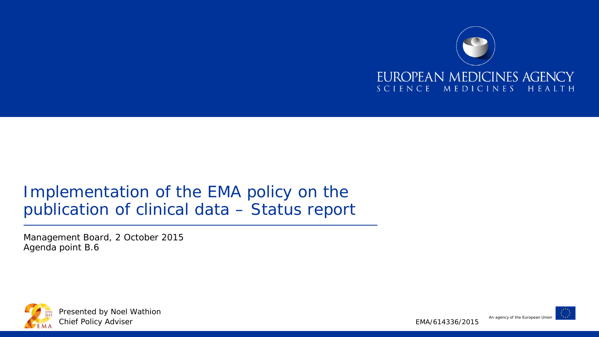

#### Implementation of the EMA policy on the publication of clinical data – Status report

Management Board, 2 October 2015 Agenda point B.6



An agency of the European Union

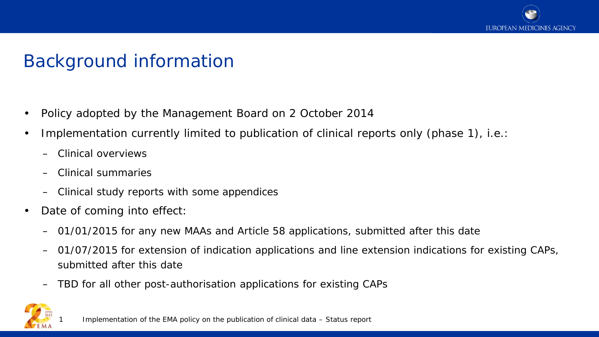

# Background information

- Policy adopted by the Management Board on 2 October 2014
- Implementation currently limited to publication of clinical reports only (phase 1), i.e.:
	- Clinical overviews
	- Clinical summaries
	- Clinical study reports with some appendices
- Date of coming into effect:
	- 01/01/2015 for any new MAAs and Article 58 applications, submitted after this date
	- 01/07/2015 for extension of indication applications and line extension indications for existing CAPs, submitted after this date
	- TBD for all other post-authorisation applications for existing CAPs

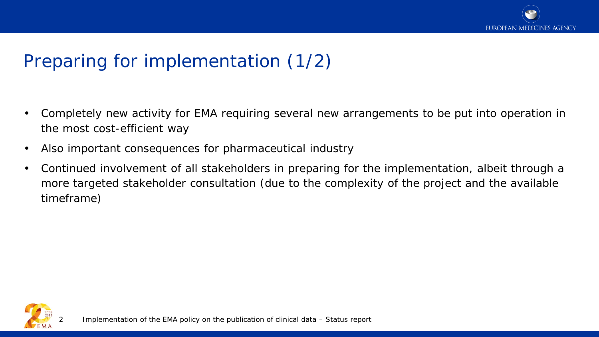

# Preparing for implementation (1/2)

- Completely new activity for EMA requiring several new arrangements to be put into operation in the most cost-efficient way
- Also important consequences for pharmaceutical industry
- Continued involvement of all stakeholders in preparing for the implementation, albeit through a more targeted stakeholder consultation (due to the complexity of the project and the available timeframe)

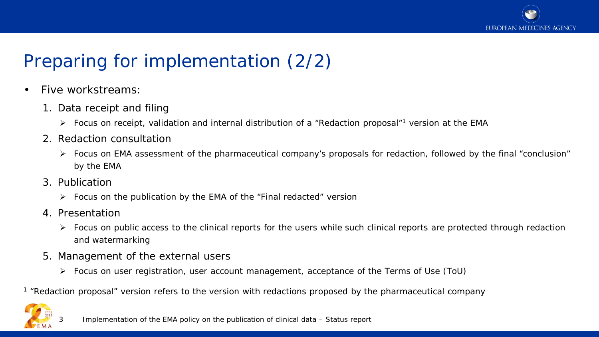

# Preparing for implementation (2/2)

- Five workstreams:
	- 1. Data receipt and filing
		- Focus on receipt, validation and internal distribution of a "Redaction proposal"<sup>1</sup> version at the EMA
	- 2. Redaction consultation
		- Focus on EMA assessment of the pharmaceutical company's proposals for redaction, followed by the final "conclusion" by the EMA
	- 3. Publication
		- $\triangleright$  Focus on the publication by the EMA of the "Final redacted" version
	- 4. Presentation
		- $\triangleright$  Focus on public access to the clinical reports for the users while such clinical reports are protected through redaction and watermarking
	- 5. Management of the external users
		- Focus on user registration, user account management, acceptance of the Terms of Use (ToU)

<sup>1</sup> "Redaction proposal" version refers to the version with redactions proposed by the pharmaceutical company

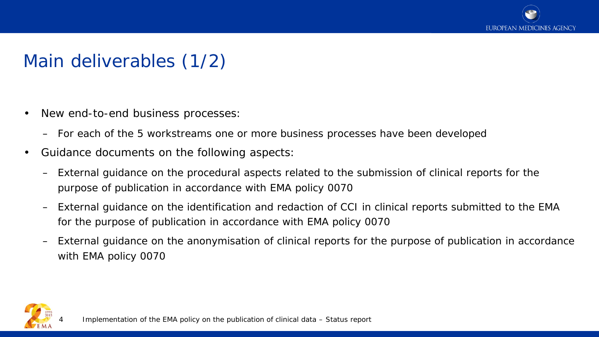

# Main deliverables (1/2)

- New end-to-end business processes:
	- For each of the 5 workstreams one or more business processes have been developed
- Guidance documents on the following aspects:
	- External guidance on the procedural aspects related to the submission of clinical reports for the purpose of publication in accordance with EMA policy 0070
	- External guidance on the identification and redaction of CCI in clinical reports submitted to the EMA for the purpose of publication in accordance with EMA policy 0070
	- External guidance on the anonymisation of clinical reports for the purpose of publication in accordance with EMA policy 0070

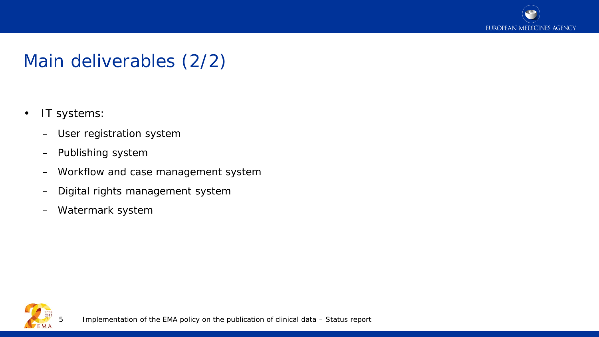

# Main deliverables (2/2)

- IT systems:
	- User registration system
	- Publishing system
	- Workflow and case management system
	- Digital rights management system
	- Watermark system



5 Implementation of the EMA policy on the publication of clinical data – Status report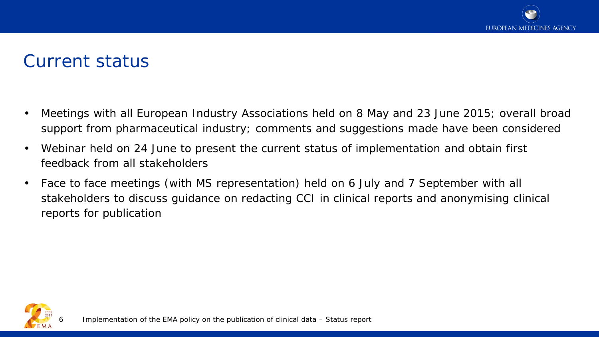### Current status

- Meetings with all European Industry Associations held on 8 May and 23 June 2015; overall broad support from pharmaceutical industry; comments and suggestions made have been considered
- Webinar held on 24 June to present the current status of implementation and obtain first feedback from all stakeholders
- Face to face meetings (with MS representation) held on 6 July and 7 September with all stakeholders to discuss guidance on redacting CCI in clinical reports and anonymising clinical reports for publication

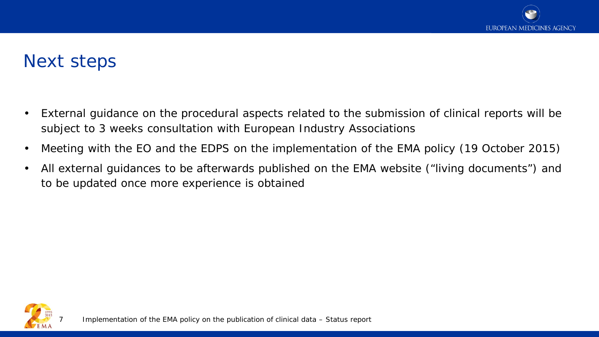### Next steps

- External guidance on the procedural aspects related to the submission of clinical reports will be subject to 3 weeks consultation with European Industry Associations
- Meeting with the EO and the EDPS on the implementation of the EMA policy (19 October 2015)
- All external guidances to be afterwards published on the EMA website ("living documents") and to be updated once more experience is obtained